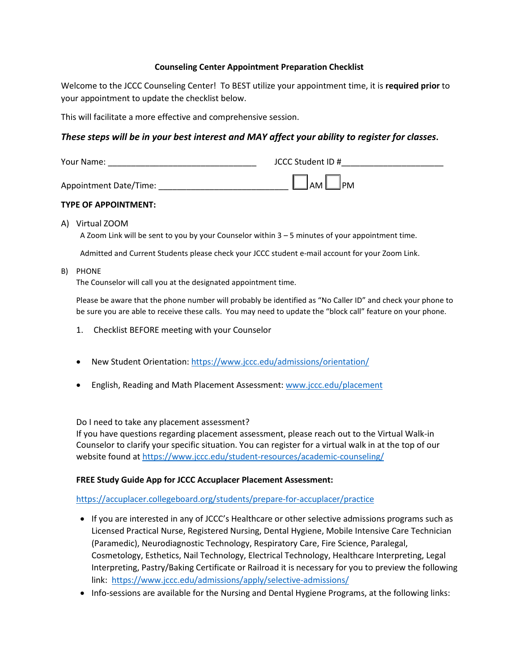## **Counseling Center Appointment Preparation Checklist**

Welcome to the JCCC Counseling Center! To BEST utilize your appointment time, it is **required prior** to your appointment to update the checklist below.

This will facilitate a more effective and comprehensive session.

# *These steps will be in your best interest and MAY affect your ability to register for classes***.**

| Your Name:             | JCCC Student ID # |
|------------------------|-------------------|
| Appointment Date/Time: | IAM LIPM          |

## **TYPE OF APPOINTMENT:**

## A) Virtual ZOOM

A Zoom Link will be sent to you by your Counselor within 3 – 5 minutes of your appointment time.

Admitted and Current Students please check your JCCC student e-mail account for your Zoom Link.

B) PHONE

The Counselor will call you at the designated appointment time.

Please be aware that the phone number will probably be identified as "No Caller ID" and check your phone to be sure you are able to receive these calls. You may need to update the "block call" feature on your phone.

- 1. Checklist BEFORE meeting with your Counselor
- New Student Orientation[: https://www.jccc.edu/admissions/orientation/](https://www.jccc.edu/admissions/orientation/)
- English, Reading and Math Placement Assessment: [www.jccc.edu/placement](http://www.jccc.edu/placement)

Do I need to take any placement assessment?

If you have questions regarding placement assessment, please reach out to the Virtual Walk-in Counselor to clarify your specific situation. You can register for a virtual walk in at the top of our website found at<https://www.jccc.edu/student-resources/academic-counseling/>

## **FREE Study Guide App for JCCC Accuplacer Placement Assessment:**

## <https://accuplacer.collegeboard.org/students/prepare-for-accuplacer/practice>

- If you are interested in any of JCCC's Healthcare or other selective admissions programs such as Licensed Practical Nurse, Registered Nursing, Dental Hygiene, Mobile Intensive Care Technician (Paramedic), Neurodiagnostic Technology, Respiratory Care, Fire Science, Paralegal, Cosmetology, Esthetics, Nail Technology, Electrical Technology, Healthcare Interpreting, Legal Interpreting, Pastry/Baking Certificate or Railroad it is necessary for you to preview the following link:<https://www.jccc.edu/admissions/apply/selective-admissions/>
- Info-sessions are available for the Nursing and Dental Hygiene Programs, at the following links: